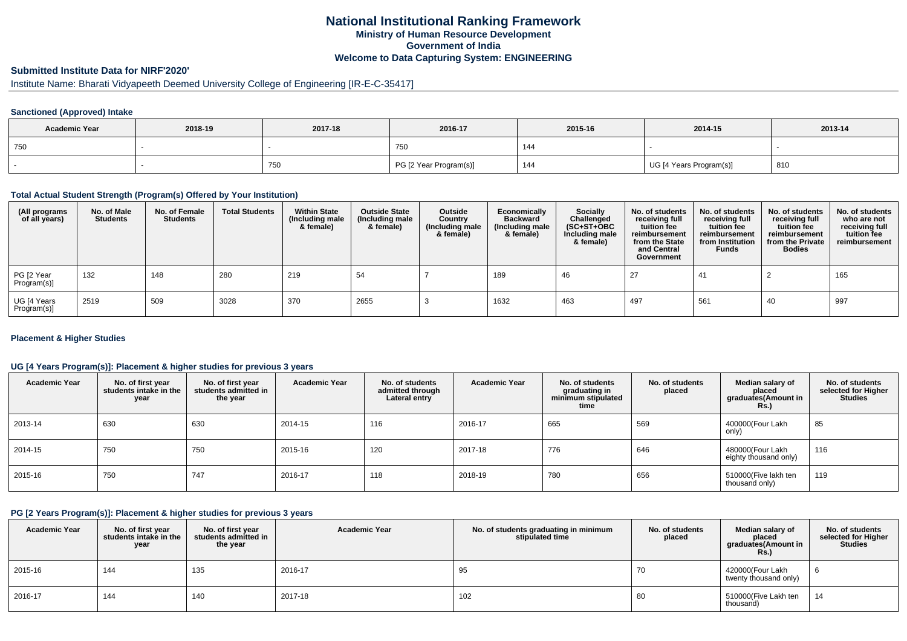## **National Institutional Ranking FrameworkMinistry of Human Resource DevelopmentGovernment of IndiaWelcome to Data Capturing System: ENGINEERING**

# **Submitted Institute Data for NIRF'2020'**

# Institute Name: Bharati Vidyapeeth Deemed University College of Engineering [IR-E-C-35417]

### **Sanctioned (Approved) Intake**

| <b>Academic Year</b> | 2018-19 | 2017-18 | 2016-17                | 2015-16 | 2014-15                 | 2013-14 |
|----------------------|---------|---------|------------------------|---------|-------------------------|---------|
| 750                  |         |         | 750                    |         |                         |         |
|                      |         | 750     | PG [2 Year Program(s)] | 144     | UG [4 Years Program(s)] | 810     |

#### **Total Actual Student Strength (Program(s) Offered by Your Institution)**

| (All programs<br>of all years) | No. of Male<br><b>Students</b> | No. of Female<br>Students | <b>Total Students</b> | <b>Within State</b><br>(Including male<br>& female) | <b>Outside State</b><br>(Including male<br>& female) | Outside<br>Country<br>(Including male<br>& female) | Economically<br><b>Backward</b><br>(Including male<br>& female) | <b>Socially</b><br>Challenged<br>$(SC+ST+OBC)$<br>Including male<br>& female) | No. of students<br>receiving full<br>tuition fee<br>reimbursement<br>from the State<br>and Central<br>Government | No. of students<br>receiving full<br>tuition fee<br>reimbursement<br>from Institution<br><b>Funds</b> | No. of students<br>receiving full<br>tuition fee<br>reimbursement<br>from the Private<br><b>Bodies</b> | No. of students<br>who are not<br>receiving full<br>tuition fee<br>reimbursement |
|--------------------------------|--------------------------------|---------------------------|-----------------------|-----------------------------------------------------|------------------------------------------------------|----------------------------------------------------|-----------------------------------------------------------------|-------------------------------------------------------------------------------|------------------------------------------------------------------------------------------------------------------|-------------------------------------------------------------------------------------------------------|--------------------------------------------------------------------------------------------------------|----------------------------------------------------------------------------------|
| PG [2 Year<br>Program(s)]      | 132                            | 148                       | 280                   | 219                                                 | 54                                                   |                                                    | 189                                                             | 46                                                                            | -27                                                                                                              | 41                                                                                                    |                                                                                                        | 165                                                                              |
| UG [4 Years<br>Program(s)]     | 2519                           | 509                       | 3028                  | 370                                                 | 2655                                                 |                                                    | 1632                                                            | 463                                                                           | 497                                                                                                              | 561                                                                                                   | 40                                                                                                     | 997                                                                              |

### **Placement & Higher Studies**

### **UG [4 Years Program(s)]: Placement & higher studies for previous 3 years**

| <b>Academic Year</b> | No. of first year<br>students intake in the<br>year | No. of first vear<br>students admitted in<br>the year | <b>Academic Year</b> | No. of students<br>admitted through<br>Lateral entry | <b>Academic Year</b> | No. of students<br>graduating in<br>minimum stipulated<br>time | No. of students<br>placed | Median salary of<br>placed<br>graduates(Amount in<br>Rs.) | No. of students<br>selected for Higher<br><b>Studies</b> |
|----------------------|-----------------------------------------------------|-------------------------------------------------------|----------------------|------------------------------------------------------|----------------------|----------------------------------------------------------------|---------------------------|-----------------------------------------------------------|----------------------------------------------------------|
| 2013-14              | 630                                                 | 630                                                   | 2014-15              | 116                                                  | 2016-17              | 665                                                            | 569                       | 400000(Four Lakh<br>only)                                 | 85                                                       |
| 2014-15              | 750                                                 | 750                                                   | 2015-16              | 120                                                  | 2017-18              | 776                                                            | 646                       | 480000(Four Lakh<br>eighty thousand only)                 | 116                                                      |
| 2015-16              | 750                                                 | 747                                                   | 2016-17              | 118                                                  | 2018-19              | 780                                                            | 656                       | 510000(Five lakh ten<br>thousand only)                    | 119                                                      |

#### **PG [2 Years Program(s)]: Placement & higher studies for previous 3 years**

| <b>Academic Year</b> | No. of first year<br>students intake in the<br>year | No. of first vear<br>students admitted in<br>the year | <b>Academic Year</b> | No. of students graduating in minimum<br>stipulated time | No. of students<br>placed | Median salary of<br>placed<br>graduates(Amount in<br><b>Rs.)</b> | No. of students<br>selected for Higher<br><b>Studies</b> |
|----------------------|-----------------------------------------------------|-------------------------------------------------------|----------------------|----------------------------------------------------------|---------------------------|------------------------------------------------------------------|----------------------------------------------------------|
| 2015-16              | 144                                                 | 135                                                   | 2016-17              | 95                                                       | 70                        | 420000(Four Lakh<br>twenty thousand only)                        |                                                          |
| 2016-17              | 144                                                 | 140                                                   | 2017-18              | 102                                                      | 80                        | 510000(Five Lakh ten<br>thousand)                                | 14                                                       |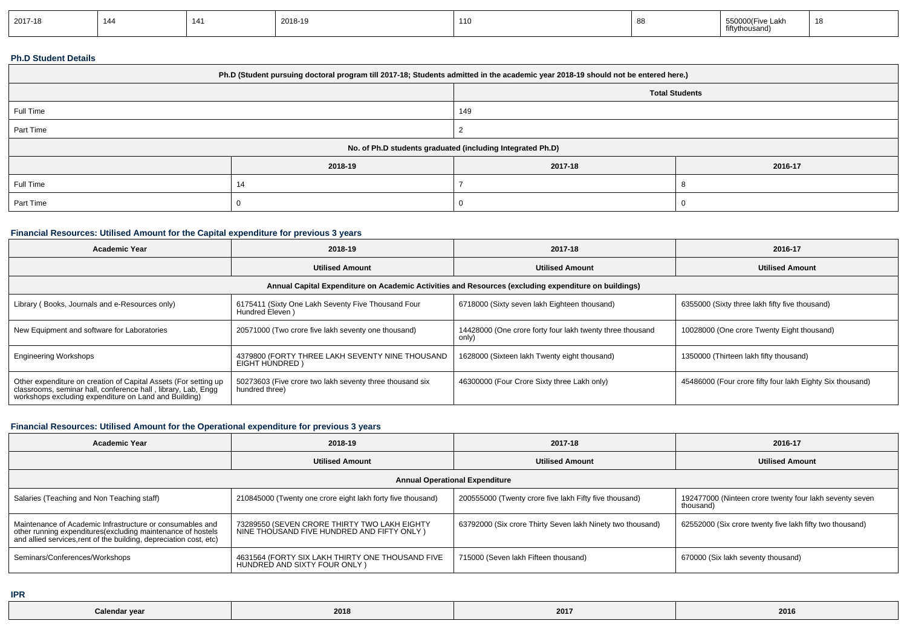| 2017-18 | 144 | . | 2018-19 | 110 |  | 550000(Five Lakh<br>fiftythousand) |  |
|---------|-----|---|---------|-----|--|------------------------------------|--|
|---------|-----|---|---------|-----|--|------------------------------------|--|

### **Ph.D Student Details**

| Ph.D (Student pursuing doctoral program till 2017-18; Students admitted in the academic year 2018-19 should not be entered here.) |         |                                                            |         |  |  |  |
|-----------------------------------------------------------------------------------------------------------------------------------|---------|------------------------------------------------------------|---------|--|--|--|
|                                                                                                                                   |         | <b>Total Students</b>                                      |         |  |  |  |
| Full Time                                                                                                                         |         | 149                                                        |         |  |  |  |
| Part Time                                                                                                                         |         |                                                            |         |  |  |  |
|                                                                                                                                   |         | No. of Ph.D students graduated (including Integrated Ph.D) |         |  |  |  |
|                                                                                                                                   | 2018-19 | 2017-18                                                    | 2016-17 |  |  |  |
| Full Time                                                                                                                         | 14      |                                                            |         |  |  |  |
| Part Time                                                                                                                         |         |                                                            |         |  |  |  |

## **Financial Resources: Utilised Amount for the Capital expenditure for previous 3 years**

| <b>Academic Year</b>                                                                                                                                                                      | 2018-19                                                                    | 2017-18                                                            | 2016-17                                                   |  |  |  |  |
|-------------------------------------------------------------------------------------------------------------------------------------------------------------------------------------------|----------------------------------------------------------------------------|--------------------------------------------------------------------|-----------------------------------------------------------|--|--|--|--|
|                                                                                                                                                                                           | <b>Utilised Amount</b>                                                     | <b>Utilised Amount</b>                                             | <b>Utilised Amount</b>                                    |  |  |  |  |
| Annual Capital Expenditure on Academic Activities and Resources (excluding expenditure on buildings)                                                                                      |                                                                            |                                                                    |                                                           |  |  |  |  |
| Library (Books, Journals and e-Resources only)                                                                                                                                            | 6175411 (Sixty One Lakh Seventy Five Thousand Four<br>Hundred Eleven)      | 6718000 (Sixty seven lakh Eighteen thousand)                       | 6355000 (Sixty three lakh fifty five thousand)            |  |  |  |  |
| New Equipment and software for Laboratories                                                                                                                                               | 20571000 (Two crore five lakh seventy one thousand)                        | 14428000 (One crore forty four lakh twenty three thousand<br>only) | 10028000 (One crore Twenty Eight thousand)                |  |  |  |  |
| <b>Engineering Workshops</b>                                                                                                                                                              | 4379800 (FORTY THREE LAKH SEVENTY NINE THOUSAND<br>EIGHT HUNDRED)          | 1628000 (Sixteen lakh Twenty eight thousand)                       | 1350000 (Thirteen lakh fifty thousand)                    |  |  |  |  |
| Other expenditure on creation of Capital Assets (For setting up<br>classrooms, seminar hall, conference hall, library, Lab, Engg<br>workshops excluding expenditure on Land and Building) | 50273603 (Five crore two lakh seventy three thousand six<br>hundred three) | 46300000 (Four Crore Sixty three Lakh only)                        | 45486000 (Four crore fifty four lakh Eighty Six thousand) |  |  |  |  |

## **Financial Resources: Utilised Amount for the Operational expenditure for previous 3 years**

| Academic Year                                                                                                                                                                                  | 2018-19                                                                                    | 2017-18                                                    | 2016-17                                                              |  |  |  |  |
|------------------------------------------------------------------------------------------------------------------------------------------------------------------------------------------------|--------------------------------------------------------------------------------------------|------------------------------------------------------------|----------------------------------------------------------------------|--|--|--|--|
|                                                                                                                                                                                                | <b>Utilised Amount</b>                                                                     | <b>Utilised Amount</b>                                     | <b>Utilised Amount</b>                                               |  |  |  |  |
| <b>Annual Operational Expenditure</b>                                                                                                                                                          |                                                                                            |                                                            |                                                                      |  |  |  |  |
| Salaries (Teaching and Non Teaching staff)                                                                                                                                                     | 210845000 (Twenty one crore eight lakh forty five thousand)                                | 200555000 (Twenty crore five lakh Fifty five thousand)     | 192477000 (Ninteen crore twenty four lakh seventy seven<br>thousand) |  |  |  |  |
| Maintenance of Academic Infrastructure or consumables and<br>other running expenditures(excluding maintenance of hostels<br>and allied services, rent of the building, depreciation cost, etc) | 73289550 (SEVEN CRORE THIRTY TWO LAKH EIGHTY<br>NINE THOUSAND FIVE HUNDRED AND FIFTY ONLY) | 63792000 (Six crore Thirty Seven lakh Ninety two thousand) | 62552000 (Six crore twenty five lakh fifty two thousand)             |  |  |  |  |
| Seminars/Conferences/Workshops                                                                                                                                                                 | 4631564 (FORTY SIX LAKH THIRTY ONE THOUSAND FIVE<br>HUNDRED AND SIXTY FOUR ONLY)           | 715000 (Seven lakh Fifteen thousand)                       | 670000 (Six lakh seventy thousand)                                   |  |  |  |  |

**IPR**

| Calendar year | 2018 | 2017 | 2016 |
|---------------|------|------|------|
|               |      |      |      |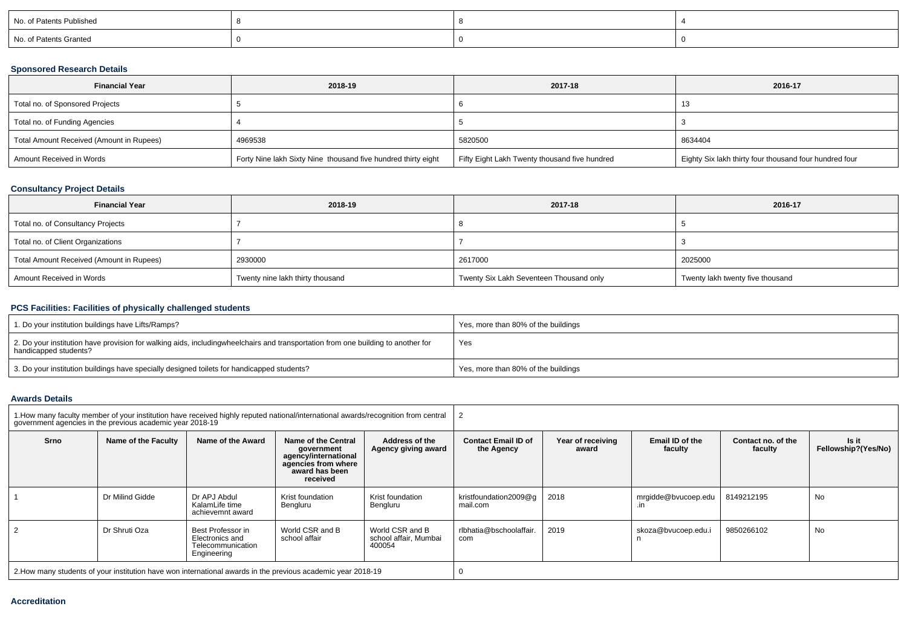| No. of Patents Published |  |  |
|--------------------------|--|--|
| No. of Patents Granted   |  |  |

### **Sponsored Research Details**

| <b>Financial Year</b>                    | 2018-19                                                       | 2017-18                                       | 2016-17                                                |
|------------------------------------------|---------------------------------------------------------------|-----------------------------------------------|--------------------------------------------------------|
| Total no. of Sponsored Projects          |                                                               |                                               | . .                                                    |
| Total no. of Funding Agencies            |                                                               |                                               |                                                        |
| Total Amount Received (Amount in Rupees) | 4969538                                                       | 5820500                                       | 8634404                                                |
| Amount Received in Words                 | Forty Nine lakh Sixty Nine thousand five hundred thirty eight | Fifty Eight Lakh Twenty thousand five hundred | Eighty Six lakh thirty four thousand four hundred four |

### **Consultancy Project Details**

| <b>Financial Year</b>                    | 2018-19                          | 2017-18                                 | 2016-17                          |
|------------------------------------------|----------------------------------|-----------------------------------------|----------------------------------|
| Total no. of Consultancy Projects        |                                  |                                         |                                  |
| Total no. of Client Organizations        |                                  |                                         |                                  |
| Total Amount Received (Amount in Rupees) | 2930000                          | 2617000                                 | 2025000                          |
| Amount Received in Words                 | Twenty nine lakh thirty thousand | Twenty Six Lakh Seventeen Thousand only | Twenty lakh twenty five thousand |

## **PCS Facilities: Facilities of physically challenged students**

| 1. Do your institution buildings have Lifts/Ramps?                                                                                                        | Yes, more than 80% of the buildings |
|-----------------------------------------------------------------------------------------------------------------------------------------------------------|-------------------------------------|
| 2. Do your institution have provision for walking aids, includingwheelchairs and transportation from one building to another for<br>handicapped students? | Yes                                 |
| 3. Do your institution buildings have specially designed toilets for handicapped students?                                                                | Yes, more than 80% of the buildings |

#### **Awards Details**

|      | government agencies in the previous academic vear 2018-19 | 1. How many faculty member of your institution have received highly reputed national/international awards/recognition from central |                                                                                                                |                                                    |                                          |                                               |                     |                               |                              |  |  |
|------|-----------------------------------------------------------|------------------------------------------------------------------------------------------------------------------------------------|----------------------------------------------------------------------------------------------------------------|----------------------------------------------------|------------------------------------------|-----------------------------------------------|---------------------|-------------------------------|------------------------------|--|--|
| Srno | Name of the Faculty                                       | Name of the Award                                                                                                                  | Name of the Central<br>government<br>agency/international<br>agencies from where<br>award has been<br>received | Address of the<br>Agency giving award              | <b>Contact Email ID of</b><br>the Agency | Email ID of the<br>Year of receiving<br>award |                     | Contact no. of the<br>faculty | Is it<br>Fellowship?(Yes/No) |  |  |
|      | Dr Milind Gidde                                           | Dr APJ Abdul<br>KalamLife time<br>achievemnt award                                                                                 | Krist foundation<br>Bengluru                                                                                   | Krist foundation<br>Bengluru                       | kristfoundation2009@q<br>mail.com        | 2018                                          | mrgidde@bvucoep.edu | 8149212195                    | No                           |  |  |
|      | Dr Shruti Oza                                             | Best Professor in<br>Electronics and<br>Telecommunication<br>Engineering                                                           | World CSR and B<br>school affair                                                                               | World CSR and B<br>school affair, Mumbai<br>400054 | rlbhatia@bschoolaffair.<br>com           | 2019                                          | skoza@bvucoep.edu.i | 9850266102                    | No                           |  |  |
|      |                                                           | 2. How many students of your institution have won international awards in the previous academic year 2018-19                       |                                                                                                                |                                                    |                                          |                                               |                     |                               |                              |  |  |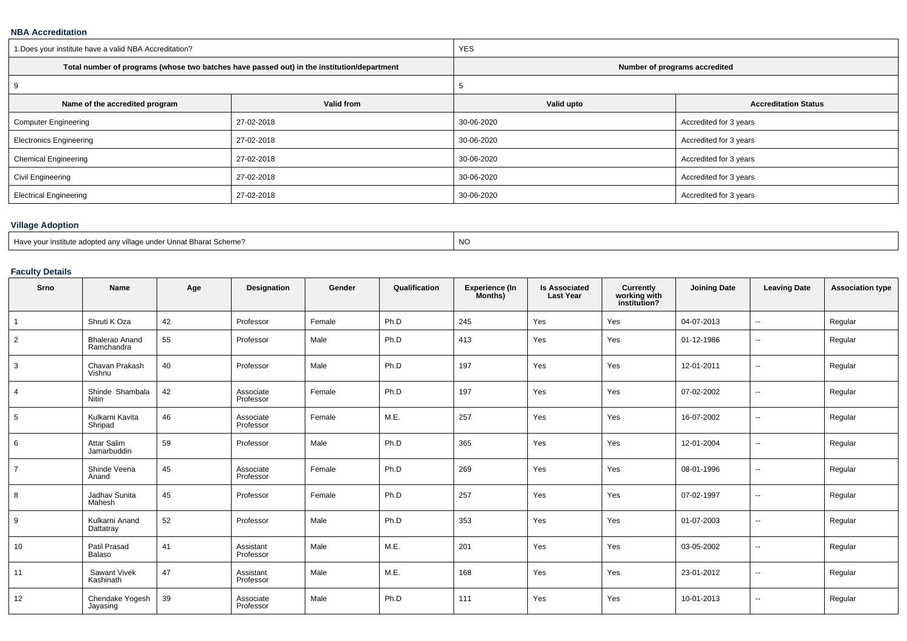### **NBA Accreditation**

| 1. Does your institute have a valid NBA Accreditation? |                                                                                            | <b>YES</b>                    |                             |  |  |  |  |
|--------------------------------------------------------|--------------------------------------------------------------------------------------------|-------------------------------|-----------------------------|--|--|--|--|
|                                                        | Total number of programs (whose two batches have passed out) in the institution/department | Number of programs accredited |                             |  |  |  |  |
| 9                                                      |                                                                                            |                               |                             |  |  |  |  |
| Name of the accredited program                         | Valid from                                                                                 | Valid upto                    | <b>Accreditation Status</b> |  |  |  |  |
| <b>Computer Engineering</b>                            | 27-02-2018                                                                                 | 30-06-2020                    | Accredited for 3 years      |  |  |  |  |
| <b>Electronics Engineering</b>                         | 27-02-2018                                                                                 | 30-06-2020                    | Accredited for 3 years      |  |  |  |  |
| <b>Chemical Engineering</b>                            | 27-02-2018                                                                                 | 30-06-2020                    | Accredited for 3 years      |  |  |  |  |
| Civil Engineering                                      | 27-02-2018                                                                                 | 30-06-2020                    | Accredited for 3 years      |  |  |  |  |
| <b>Electrical Engineering</b>                          | 27-02-2018                                                                                 | 30-06-2020                    | Accredited for 3 years      |  |  |  |  |

# **Village Adoption**

| Have .<br>llage under Unnat Bharat Scheme?<br>a adopted any village musulution<br>$\sim$ $\sim$ $\sim$ $\sim$ | <b>NO</b> |
|---------------------------------------------------------------------------------------------------------------|-----------|
|                                                                                                               |           |

## **Faculty Details**

| Srno           | <b>Name</b>                         | Age | Designation            | Gender | Qualification | <b>Experience (In</b><br>Months) | <b>Is Associated</b><br><b>Last Year</b> | <b>Currently</b><br>working with<br>institution? | <b>Joining Date</b> | <b>Leaving Date</b>      | <b>Association type</b> |
|----------------|-------------------------------------|-----|------------------------|--------|---------------|----------------------------------|------------------------------------------|--------------------------------------------------|---------------------|--------------------------|-------------------------|
| $\mathbf{1}$   | Shruti K Oza                        | 42  | Professor              | Female | Ph.D          | 245                              | Yes                                      | Yes                                              | 04-07-2013          | $\overline{\phantom{a}}$ | Regular                 |
| 2              | <b>Bhalerao Anand</b><br>Ramchandra | 55  | Professor              | Male   | Ph.D          | 413                              | Yes                                      | Yes                                              | 01-12-1986          | $\sim$                   | Regular                 |
| 3              | Chavan Prakash<br>Vishnu            | 40  | Professor              | Male   | Ph.D          | 197                              | Yes                                      | Yes                                              | 12-01-2011          | --                       | Regular                 |
| 4              | Shinde Shambala<br>Nitin            | 42  | Associate<br>Professor | Female | Ph.D          | 197                              | Yes                                      | Yes                                              | 07-02-2002          | $\sim$                   | Regular                 |
| 5              | Kulkarni Kavita<br>Shripad          | 46  | Associate<br>Professor | Female | M.E.          | 257                              | Yes                                      | Yes                                              | 16-07-2002          | $\overline{\phantom{a}}$ | Regular                 |
| 6              | Attar Salim<br>Jamarbuddin          | 59  | Professor              | Male   | Ph.D          | 365                              | Yes                                      | Yes                                              | 12-01-2004          | $\sim$                   | Regular                 |
| $\overline{7}$ | Shinde Veena<br>Anand               | 45  | Associate<br>Professor | Female | Ph.D          | 269                              | Yes                                      | Yes                                              | 08-01-1996          | $\overline{\phantom{a}}$ | Regular                 |
| 8              | Jadhav Sunita<br>Mahesh             | 45  | Professor              | Female | Ph.D          | 257                              | Yes                                      | Yes                                              | 07-02-1997          | $\overline{\phantom{a}}$ | Regular                 |
| 9              | Kulkarni Anand<br>Dattatray         | 52  | Professor              | Male   | Ph.D          | 353                              | Yes                                      | Yes                                              | 01-07-2003          | $\overline{\phantom{a}}$ | Regular                 |
| 10             | Patil Prasad<br>Balaso              | 41  | Assistant<br>Professor | Male   | M.E.          | 201                              | Yes                                      | Yes                                              | 03-05-2002          | --                       | Regular                 |
| 11             | Sawant Vivek<br>Kashinath           | 47  | Assistant<br>Professor | Male   | M.E.          | 168                              | Yes                                      | Yes                                              | 23-01-2012          | --                       | Regular                 |
| 12             | Chendake Yogesh<br>Jayasing         | 39  | Associate<br>Professor | Male   | Ph.D          | 111                              | Yes                                      | Yes                                              | 10-01-2013          | $\overline{\phantom{a}}$ | Regular                 |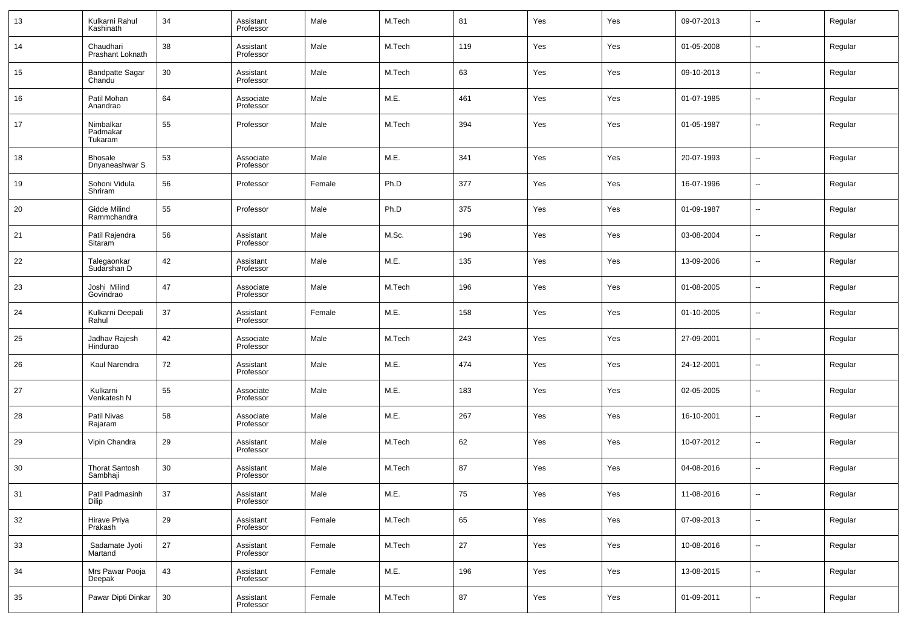| 13 | Kulkarni Rahul<br>Kashinath       | 34     | Assistant<br>Professor | Male   | M.Tech | 81  | Yes | Yes | 09-07-2013 | $\overline{\phantom{a}}$ | Regular |
|----|-----------------------------------|--------|------------------------|--------|--------|-----|-----|-----|------------|--------------------------|---------|
| 14 | Chaudhari<br>Prashant Loknath     | 38     | Assistant<br>Professor | Male   | M.Tech | 119 | Yes | Yes | 01-05-2008 | $\sim$                   | Regular |
| 15 | <b>Bandpatte Sagar</b><br>Chandu  | 30     | Assistant<br>Professor | Male   | M.Tech | 63  | Yes | Yes | 09-10-2013 | $\sim$                   | Regular |
| 16 | Patil Mohan<br>Anandrao           | 64     | Associate<br>Professor | Male   | M.E.   | 461 | Yes | Yes | 01-07-1985 | $\sim$                   | Regular |
| 17 | Nimbalkar<br>Padmakar<br>Tukaram  | 55     | Professor              | Male   | M.Tech | 394 | Yes | Yes | 01-05-1987 | $\sim$                   | Regular |
| 18 | <b>Bhosale</b><br>Dnyaneashwar S  | 53     | Associate<br>Professor | Male   | M.E.   | 341 | Yes | Yes | 20-07-1993 | ш.                       | Regular |
| 19 | Sohoni Vidula<br>Shriram          | 56     | Professor              | Female | Ph.D   | 377 | Yes | Yes | 16-07-1996 | ш.                       | Regular |
| 20 | Gidde Milind<br>Rammchandra       | 55     | Professor              | Male   | Ph.D   | 375 | Yes | Yes | 01-09-1987 | ш.                       | Regular |
| 21 | Patil Rajendra<br>Sitaram         | 56     | Assistant<br>Professor | Male   | M.Sc.  | 196 | Yes | Yes | 03-08-2004 | ш.                       | Regular |
| 22 | Talegaonkar<br>Sudarshan D        | 42     | Assistant<br>Professor | Male   | M.E.   | 135 | Yes | Yes | 13-09-2006 | ш.                       | Regular |
| 23 | Joshi Milind<br>Govindrao         | 47     | Associate<br>Professor | Male   | M.Tech | 196 | Yes | Yes | 01-08-2005 | ш.                       | Regular |
| 24 | Kulkarni Deepali<br>Rahul         | 37     | Assistant<br>Professor | Female | M.E.   | 158 | Yes | Yes | 01-10-2005 | ш.                       | Regular |
| 25 | Jadhav Rajesh<br>Hindurao         | 42     | Associate<br>Professor | Male   | M.Tech | 243 | Yes | Yes | 27-09-2001 | ш.                       | Regular |
| 26 | Kaul Narendra                     | 72     | Assistant<br>Professor | Male   | M.E.   | 474 | Yes | Yes | 24-12-2001 | ш.                       | Regular |
| 27 | Kulkarni<br>Venkatesh N           | 55     | Associate<br>Professor | Male   | M.E.   | 183 | Yes | Yes | 02-05-2005 | ш.                       | Regular |
| 28 | Patil Nivas<br>Rajaram            | 58     | Associate<br>Professor | Male   | M.E.   | 267 | Yes | Yes | 16-10-2001 | ш.                       | Regular |
| 29 | Vipin Chandra                     | 29     | Assistant<br>Professor | Male   | M.Tech | 62  | Yes | Yes | 10-07-2012 | ш.                       | Regular |
| 30 | <b>Thorat Santosh</b><br>Sambhaji | 30     | Assistant<br>Professor | Male   | M.Tech | 87  | Yes | Yes | 04-08-2016 | ш.                       | Regular |
| 31 | Patil Padmasinh<br>Dilip          | 37     | Assistant<br>Professor | Male   | M.E.   | 75  | Yes | Yes | 11-08-2016 |                          | Regular |
| 32 | Hirave Priya<br>Prakash           | 29     | Assistant<br>Professor | Female | M.Tech | 65  | Yes | Yes | 07-09-2013 | $\overline{\phantom{a}}$ | Regular |
| 33 | Sadamate Jyoti<br>Martand         | $27\,$ | Assistant<br>Professor | Female | M.Tech | 27  | Yes | Yes | 10-08-2016 | $\sim$                   | Regular |
| 34 | Mrs Pawar Pooja<br>Deepak         | 43     | Assistant<br>Professor | Female | M.E.   | 196 | Yes | Yes | 13-08-2015 | $\overline{\phantom{a}}$ | Regular |
| 35 | Pawar Dipti Dinkar                | 30     | Assistant<br>Professor | Female | M.Tech | 87  | Yes | Yes | 01-09-2011 | $\overline{\phantom{a}}$ | Regular |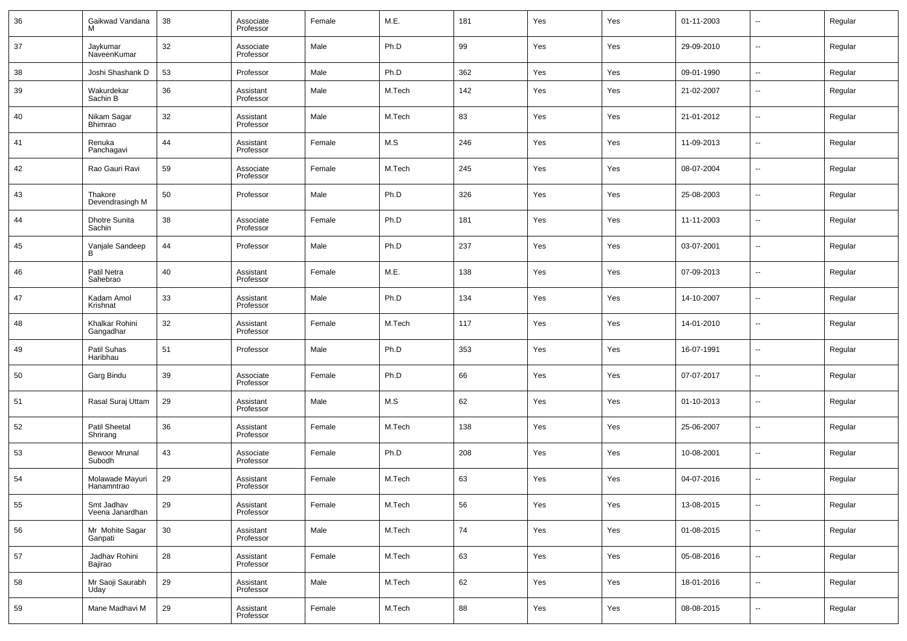| 36 | Gaikwad Vandana                | 38 | Associate<br>Professor | Female | M.E.   | 181 | Yes | Yes | 01-11-2003 | $\overline{\phantom{a}}$ | Regular |
|----|--------------------------------|----|------------------------|--------|--------|-----|-----|-----|------------|--------------------------|---------|
| 37 | Jaykumar<br>NaveenKumar        | 32 | Associate<br>Professor | Male   | Ph.D   | 99  | Yes | Yes | 29-09-2010 | $\overline{\phantom{a}}$ | Regular |
| 38 | Joshi Shashank D               | 53 | Professor              | Male   | Ph.D   | 362 | Yes | Yes | 09-01-1990 | $\overline{\phantom{a}}$ | Regular |
| 39 | Wakurdekar<br>Sachin B         | 36 | Assistant<br>Professor | Male   | M.Tech | 142 | Yes | Yes | 21-02-2007 | $\overline{\phantom{a}}$ | Regular |
| 40 | Nikam Sagar<br>Bhimrao         | 32 | Assistant<br>Professor | Male   | M.Tech | 83  | Yes | Yes | 21-01-2012 | $\overline{\phantom{a}}$ | Regular |
| 41 | Renuka<br>Panchagavi           | 44 | Assistant<br>Professor | Female | M.S    | 246 | Yes | Yes | 11-09-2013 | н.                       | Regular |
| 42 | Rao Gauri Ravi                 | 59 | Associate<br>Professor | Female | M.Tech | 245 | Yes | Yes | 08-07-2004 | $\overline{\phantom{a}}$ | Regular |
| 43 | Thakore<br>Devendrasingh M     | 50 | Professor              | Male   | Ph.D   | 326 | Yes | Yes | 25-08-2003 | $\sim$                   | Regular |
| 44 | <b>Dhotre Sunita</b><br>Sachin | 38 | Associate<br>Professor | Female | Ph.D   | 181 | Yes | Yes | 11-11-2003 | $\overline{\phantom{a}}$ | Regular |
| 45 | Vanjale Sandeep<br>B           | 44 | Professor              | Male   | Ph.D   | 237 | Yes | Yes | 03-07-2001 | $\sim$                   | Regular |
| 46 | Patil Netra<br>Sahebrao        | 40 | Assistant<br>Professor | Female | M.E.   | 138 | Yes | Yes | 07-09-2013 | $\overline{\phantom{a}}$ | Regular |
| 47 | Kadam Amol<br>Krishnat         | 33 | Assistant<br>Professor | Male   | Ph.D   | 134 | Yes | Yes | 14-10-2007 | $\sim$                   | Regular |
| 48 | Khalkar Rohini<br>Gangadhar    | 32 | Assistant<br>Professor | Female | M.Tech | 117 | Yes | Yes | 14-01-2010 | $\overline{\phantom{a}}$ | Regular |
| 49 | Patil Suhas<br>Haribhau        | 51 | Professor              | Male   | Ph.D   | 353 | Yes | Yes | 16-07-1991 | $\sim$                   | Regular |
| 50 | Garg Bindu                     | 39 | Associate<br>Professor | Female | Ph.D   | 66  | Yes | Yes | 07-07-2017 | $\sim$                   | Regular |
| 51 | Rasal Suraj Uttam              | 29 | Assistant<br>Professor | Male   | M.S    | 62  | Yes | Yes | 01-10-2013 | $\sim$                   | Regular |
| 52 | Patil Sheetal<br>Shrirang      | 36 | Assistant<br>Professor | Female | M.Tech | 138 | Yes | Yes | 25-06-2007 | $\sim$                   | Regular |
| 53 | <b>Bewoor Mrunal</b><br>Subodh | 43 | Associate<br>Professor | Female | Ph.D   | 208 | Yes | Yes | 10-08-2001 | $\overline{\phantom{a}}$ | Regular |
| 54 | Molawade Mayuri<br>Hanamntrao  | 29 | Assistant<br>Professor | Female | M.Tech | 63  | Yes | Yes | 04-07-2016 | --                       | Regular |
| 55 | Smt Jadhav<br>Veena Janardhan  | 29 | Assistant<br>Professor | Female | M.Tech | 56  | Yes | Yes | 13-08-2015 | $\sim$                   | Regular |
| 56 | Mr Mohite Sagar<br>Ganpati     | 30 | Assistant<br>Professor | Male   | M.Tech | 74  | Yes | Yes | 01-08-2015 | $\sim$                   | Regular |
| 57 | Jadhav Rohini<br>Bajirao       | 28 | Assistant<br>Professor | Female | M.Tech | 63  | Yes | Yes | 05-08-2016 | $\sim$                   | Regular |
| 58 | Mr Saoji Saurabh<br>Uday       | 29 | Assistant<br>Professor | Male   | M.Tech | 62  | Yes | Yes | 18-01-2016 | $\sim$                   | Regular |
| 59 | Mane Madhavi M                 | 29 | Assistant<br>Professor | Female | M.Tech | 88  | Yes | Yes | 08-08-2015 | $\sim$                   | Regular |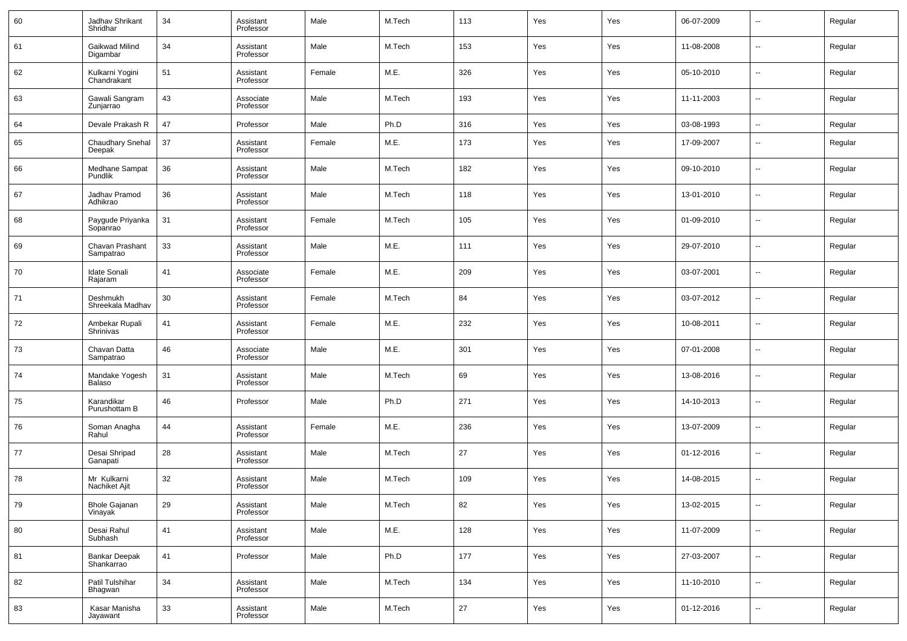| 60 | Jadhav Shrikant<br>Shridhar        | 34 | Assistant<br>Professor | Male   | M.Tech | 113 | Yes | Yes | 06-07-2009 | $\overline{\phantom{a}}$ | Regular |
|----|------------------------------------|----|------------------------|--------|--------|-----|-----|-----|------------|--------------------------|---------|
| 61 | Gaikwad Milind<br>Digambar         | 34 | Assistant<br>Professor | Male   | M.Tech | 153 | Yes | Yes | 11-08-2008 | ш.                       | Regular |
| 62 | Kulkarni Yogini<br>Chandrakant     | 51 | Assistant<br>Professor | Female | M.E.   | 326 | Yes | Yes | 05-10-2010 | $\overline{\phantom{a}}$ | Regular |
| 63 | Gawali Sangram<br>Zunjarrao        | 43 | Associate<br>Professor | Male   | M.Tech | 193 | Yes | Yes | 11-11-2003 | $\overline{\phantom{a}}$ | Regular |
| 64 | Devale Prakash R                   | 47 | Professor              | Male   | Ph.D   | 316 | Yes | Yes | 03-08-1993 | $\overline{\phantom{a}}$ | Regular |
| 65 | <b>Chaudhary Snehal</b><br>Deepak  | 37 | Assistant<br>Professor | Female | M.E.   | 173 | Yes | Yes | 17-09-2007 | $\sim$                   | Regular |
| 66 | Medhane Sampat<br>Pundlik          | 36 | Assistant<br>Professor | Male   | M.Tech | 182 | Yes | Yes | 09-10-2010 | $\overline{\phantom{a}}$ | Regular |
| 67 | Jadhav Pramod<br>Adhikrao          | 36 | Assistant<br>Professor | Male   | M.Tech | 118 | Yes | Yes | 13-01-2010 | н.                       | Regular |
| 68 | Paygude Priyanka<br>Sopanrao       | 31 | Assistant<br>Professor | Female | M.Tech | 105 | Yes | Yes | 01-09-2010 | ш.                       | Regular |
| 69 | Chavan Prashant<br>Sampatrao       | 33 | Assistant<br>Professor | Male   | M.E.   | 111 | Yes | Yes | 29-07-2010 | $\sim$                   | Regular |
| 70 | <b>Idate Sonali</b><br>Rajaram     | 41 | Associate<br>Professor | Female | M.E.   | 209 | Yes | Yes | 03-07-2001 | ш.                       | Regular |
| 71 | Deshmukh<br>Shreekala Madhav       | 30 | Assistant<br>Professor | Female | M.Tech | 84  | Yes | Yes | 03-07-2012 | $\sim$                   | Regular |
| 72 | Ambekar Rupali<br>Shrinivas        | 41 | Assistant<br>Professor | Female | M.E.   | 232 | Yes | Yes | 10-08-2011 | ш.                       | Regular |
| 73 | Chavan Datta<br>Sampatrao          | 46 | Associate<br>Professor | Male   | M.E.   | 301 | Yes | Yes | 07-01-2008 | $\sim$                   | Regular |
| 74 | Mandake Yogesh<br>Balaso           | 31 | Assistant<br>Professor | Male   | M.Tech | 69  | Yes | Yes | 13-08-2016 | --                       | Regular |
| 75 | Karandikar<br>Purushottam B        | 46 | Professor              | Male   | Ph.D   | 271 | Yes | Yes | 14-10-2013 | $\overline{\phantom{a}}$ | Regular |
| 76 | Soman Anagha<br>Rahul              | 44 | Assistant<br>Professor | Female | M.E.   | 236 | Yes | Yes | 13-07-2009 | $\sim$                   | Regular |
| 77 | Desai Shripad<br>Ganapati          | 28 | Assistant<br>Professor | Male   | M.Tech | 27  | Yes | Yes | 01-12-2016 | $\sim$                   | Regular |
| 78 | Mr Kulkarni<br>Nachiket Ajit       | 32 | Assistant<br>Professor | Male   | M.Tech | 109 | Yes | Yes | 14-08-2015 | --                       | Regular |
| 79 | <b>Bhole Gajanan</b><br>Vinayak    | 29 | Assistant<br>Professor | Male   | M.Tech | 82  | Yes | Yes | 13-02-2015 | $\sim$                   | Regular |
| 80 | Desai Rahul<br>Subhash             | 41 | Assistant<br>Professor | Male   | M.E.   | 128 | Yes | Yes | 11-07-2009 | $\sim$                   | Regular |
| 81 | <b>Bankar Deepak</b><br>Shankarrao | 41 | Professor              | Male   | Ph.D   | 177 | Yes | Yes | 27-03-2007 | $\sim$                   | Regular |
| 82 | Patil Tulshihar<br>Bhagwan         | 34 | Assistant<br>Professor | Male   | M.Tech | 134 | Yes | Yes | 11-10-2010 | $\sim$                   | Regular |
| 83 | Kasar Manisha<br>Jayawant          | 33 | Assistant<br>Professor | Male   | M.Tech | 27  | Yes | Yes | 01-12-2016 | $\sim$                   | Regular |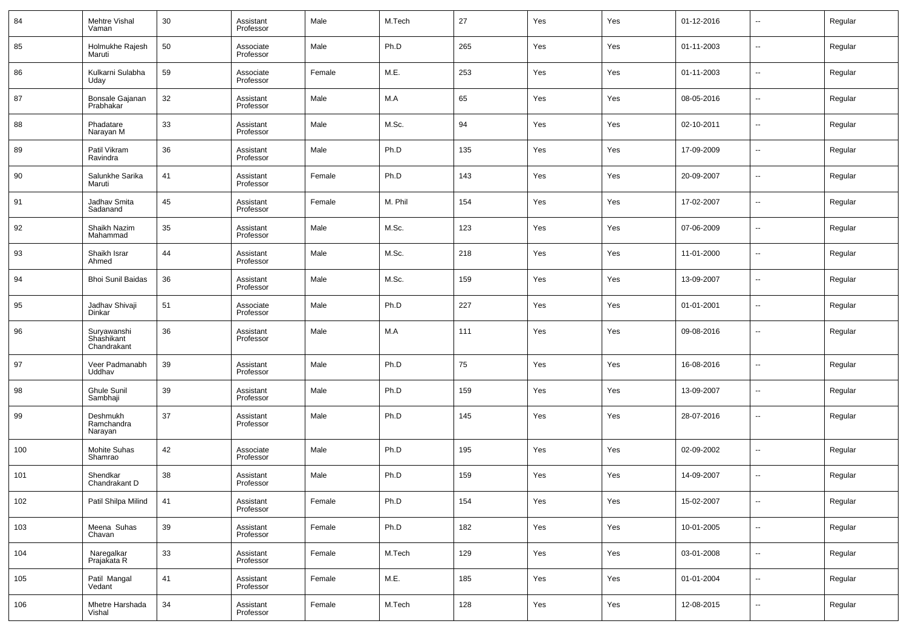| 84  | Mehtre Vishal<br>Vaman                   | 30 | Assistant<br>Professor | Male   | M.Tech  | 27  | Yes | Yes | 01-12-2016 | ⊷                        | Regular |
|-----|------------------------------------------|----|------------------------|--------|---------|-----|-----|-----|------------|--------------------------|---------|
| 85  | Holmukhe Rajesh<br>Maruti                | 50 | Associate<br>Professor | Male   | Ph.D    | 265 | Yes | Yes | 01-11-2003 | н.                       | Regular |
| 86  | Kulkarni Sulabha<br>Uday                 | 59 | Associate<br>Professor | Female | M.E.    | 253 | Yes | Yes | 01-11-2003 | н.                       | Regular |
| 87  | Bonsale Gajanan<br>Prabhakar             | 32 | Assistant<br>Professor | Male   | M.A     | 65  | Yes | Yes | 08-05-2016 | $\overline{\phantom{a}}$ | Regular |
| 88  | Phadatare<br>Narayan M                   | 33 | Assistant<br>Professor | Male   | M.Sc.   | 94  | Yes | Yes | 02-10-2011 | н.                       | Regular |
| 89  | Patil Vikram<br>Ravindra                 | 36 | Assistant<br>Professor | Male   | Ph.D    | 135 | Yes | Yes | 17-09-2009 | $\overline{\phantom{a}}$ | Regular |
| 90  | Salunkhe Sarika<br>Maruti                | 41 | Assistant<br>Professor | Female | Ph.D    | 143 | Yes | Yes | 20-09-2007 | н.                       | Regular |
| 91  | Jadhav Smita<br>Sadanand                 | 45 | Assistant<br>Professor | Female | M. Phil | 154 | Yes | Yes | 17-02-2007 | $\overline{\phantom{a}}$ | Regular |
| 92  | Shaikh Nazim<br>Mahammad                 | 35 | Assistant<br>Professor | Male   | M.Sc.   | 123 | Yes | Yes | 07-06-2009 | н.                       | Regular |
| 93  | Shaikh Israr<br>Ahmed                    | 44 | Assistant<br>Professor | Male   | M.Sc.   | 218 | Yes | Yes | 11-01-2000 | $\overline{\phantom{a}}$ | Regular |
| 94  | <b>Bhoi Sunil Baidas</b>                 | 36 | Assistant<br>Professor | Male   | M.Sc.   | 159 | Yes | Yes | 13-09-2007 | н.                       | Regular |
| 95  | Jadhav Shivaji<br>Dinkar                 | 51 | Associate<br>Professor | Male   | Ph.D    | 227 | Yes | Yes | 01-01-2001 | $\overline{\phantom{a}}$ | Regular |
| 96  | Suryawanshi<br>Shashikant<br>Chandrakant | 36 | Assistant<br>Professor | Male   | M.A     | 111 | Yes | Yes | 09-08-2016 | $\overline{\phantom{a}}$ | Regular |
| 97  | Veer Padmanabh<br>Uddhav                 | 39 | Assistant<br>Professor | Male   | Ph.D    | 75  | Yes | Yes | 16-08-2016 | -−                       | Regular |
| 98  | Ghule Sunil<br>Sambhaji                  | 39 | Assistant<br>Professor | Male   | Ph.D    | 159 | Yes | Yes | 13-09-2007 | -−                       | Regular |
| 99  | Deshmukh<br>Ramchandra<br>Narayan        | 37 | Assistant<br>Professor | Male   | Ph.D    | 145 | Yes | Yes | 28-07-2016 | --                       | Regular |
| 100 | Mohite Suhas<br>Shamrao                  | 42 | Associate<br>Professor | Male   | Ph.D    | 195 | Yes | Yes | 02-09-2002 | ⊷                        | Regular |
| 101 | Shendkar<br>Chandrakant D                | 38 | Assistant<br>Professor | Male   | Ph.D    | 159 | Yes | Yes | 14-09-2007 | --                       | Regular |
| 102 | Patil Shilpa Milind                      | 41 | Assistant<br>Professor | Female | Ph.D    | 154 | Yes | Yes | 15-02-2007 | $\sim$                   | Regular |
| 103 | Meena Suhas<br>Chavan                    | 39 | Assistant<br>Professor | Female | Ph.D    | 182 | Yes | Yes | 10-01-2005 | $\sim$                   | Regular |
| 104 | Naregalkar<br>Prajakata R                | 33 | Assistant<br>Professor | Female | M.Tech  | 129 | Yes | Yes | 03-01-2008 | н.                       | Regular |
| 105 | Patil Mangal<br>Vedant                   | 41 | Assistant<br>Professor | Female | M.E.    | 185 | Yes | Yes | 01-01-2004 | $\sim$                   | Regular |
| 106 | Mhetre Harshada<br>Vishal                | 34 | Assistant<br>Professor | Female | M.Tech  | 128 | Yes | Yes | 12-08-2015 | ⊶.                       | Regular |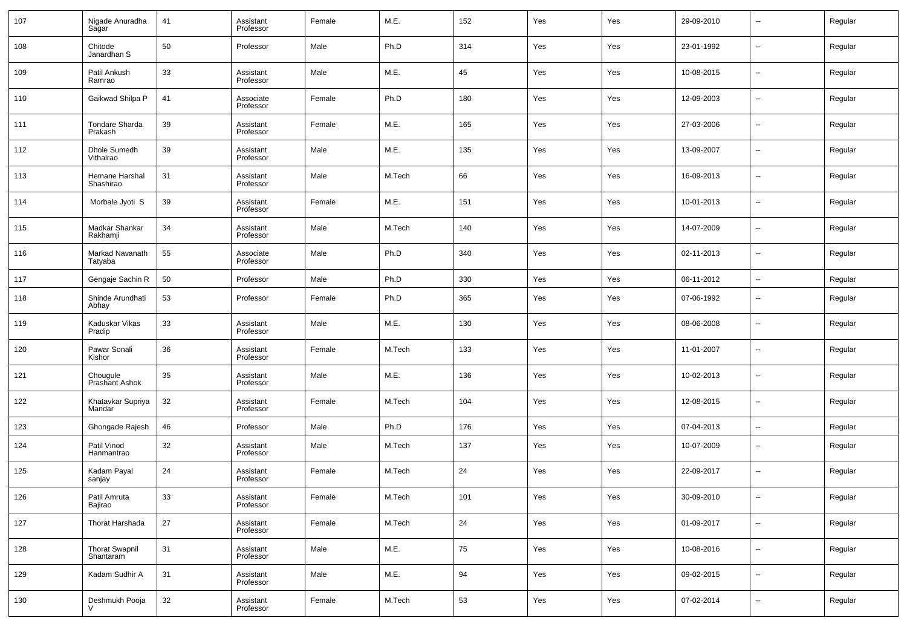| 107 | Nigade Anuradha<br>Sagar           | 41 | Assistant<br>Professor | Female | M.E.   | 152 | Yes | Yes | 29-09-2010 | $\sim$                   | Regular |
|-----|------------------------------------|----|------------------------|--------|--------|-----|-----|-----|------------|--------------------------|---------|
| 108 | Chitode<br>Janardhan S             | 50 | Professor              | Male   | Ph.D   | 314 | Yes | Yes | 23-01-1992 | $\overline{\phantom{a}}$ | Regular |
| 109 | Patil Ankush<br>Ramrao             | 33 | Assistant<br>Professor | Male   | M.E.   | 45  | Yes | Yes | 10-08-2015 | $\sim$                   | Regular |
| 110 | Gaikwad Shilpa P                   | 41 | Associate<br>Professor | Female | Ph.D   | 180 | Yes | Yes | 12-09-2003 | $\sim$                   | Regular |
| 111 | <b>Tondare Sharda</b><br>Prakash   | 39 | Assistant<br>Professor | Female | M.E.   | 165 | Yes | Yes | 27-03-2006 | $\sim$                   | Regular |
| 112 | Dhole Sumedh<br>Vithalrao          | 39 | Assistant<br>Professor | Male   | M.E.   | 135 | Yes | Yes | 13-09-2007 | н.                       | Regular |
| 113 | Hemane Harshal<br>Shashirao        | 31 | Assistant<br>Professor | Male   | M.Tech | 66  | Yes | Yes | 16-09-2013 | $\overline{\phantom{a}}$ | Regular |
| 114 | Morbale Jyoti S                    | 39 | Assistant<br>Professor | Female | M.E.   | 151 | Yes | Yes | 10-01-2013 | $\sim$                   | Regular |
| 115 | Madkar Shankar<br>Rakhamji         | 34 | Assistant<br>Professor | Male   | M.Tech | 140 | Yes | Yes | 14-07-2009 | $\overline{\phantom{a}}$ | Regular |
| 116 | Markad Navanath<br>Tatyaba         | 55 | Associate<br>Professor | Male   | Ph.D   | 340 | Yes | Yes | 02-11-2013 | $\overline{\phantom{a}}$ | Regular |
| 117 | Gengaje Sachin R                   | 50 | Professor              | Male   | Ph.D   | 330 | Yes | Yes | 06-11-2012 | $\sim$                   | Regular |
| 118 | Shinde Arundhati<br>Abhay          | 53 | Professor              | Female | Ph.D   | 365 | Yes | Yes | 07-06-1992 | --                       | Regular |
| 119 | Kaduskar Vikas<br>Pradip           | 33 | Assistant<br>Professor | Male   | M.E.   | 130 | Yes | Yes | 08-06-2008 | --                       | Regular |
| 120 | Pawar Sonali<br>Kishor             | 36 | Assistant<br>Professor | Female | M.Tech | 133 | Yes | Yes | 11-01-2007 | н.                       | Regular |
| 121 | Chougule<br>Prashant Ashok         | 35 | Assistant<br>Professor | Male   | M.E.   | 136 | Yes | Yes | 10-02-2013 | --                       | Regular |
| 122 | Khatavkar Supriya<br>Mandar        | 32 | Assistant<br>Professor | Female | M.Tech | 104 | Yes | Yes | 12-08-2015 | н.                       | Regular |
| 123 | Ghongade Rajesh                    | 46 | Professor              | Male   | Ph.D   | 176 | Yes | Yes | 07-04-2013 | н.                       | Regular |
| 124 | Patil Vinod<br>Hanmantrao          | 32 | Assistant<br>Professor | Male   | M.Tech | 137 | Yes | Yes | 10-07-2009 | $\overline{a}$           | Regular |
| 125 | Kadam Payal<br>sanjay              | 24 | Assistant<br>Professor | Female | M.Tech | 24  | Yes | Yes | 22-09-2017 | $\overline{\phantom{a}}$ | Regular |
| 126 | Patil Amruta<br>Bajirao            | 33 | Assistant<br>Professor | Female | M.Tech | 101 | Yes | Yes | 30-09-2010 | $\overline{\phantom{a}}$ | Regular |
| 127 | Thorat Harshada                    | 27 | Assistant<br>Professor | Female | M.Tech | 24  | Yes | Yes | 01-09-2017 | $\sim$                   | Regular |
| 128 | <b>Thorat Swapnil</b><br>Shantaram | 31 | Assistant<br>Professor | Male   | M.E.   | 75  | Yes | Yes | 10-08-2016 | $\overline{\phantom{a}}$ | Regular |
| 129 | Kadam Sudhir A                     | 31 | Assistant<br>Professor | Male   | M.E.   | 94  | Yes | Yes | 09-02-2015 | $\overline{\phantom{a}}$ | Regular |
| 130 | Deshmukh Pooja                     | 32 | Assistant<br>Professor | Female | M.Tech | 53  | Yes | Yes | 07-02-2014 | $\sim$                   | Regular |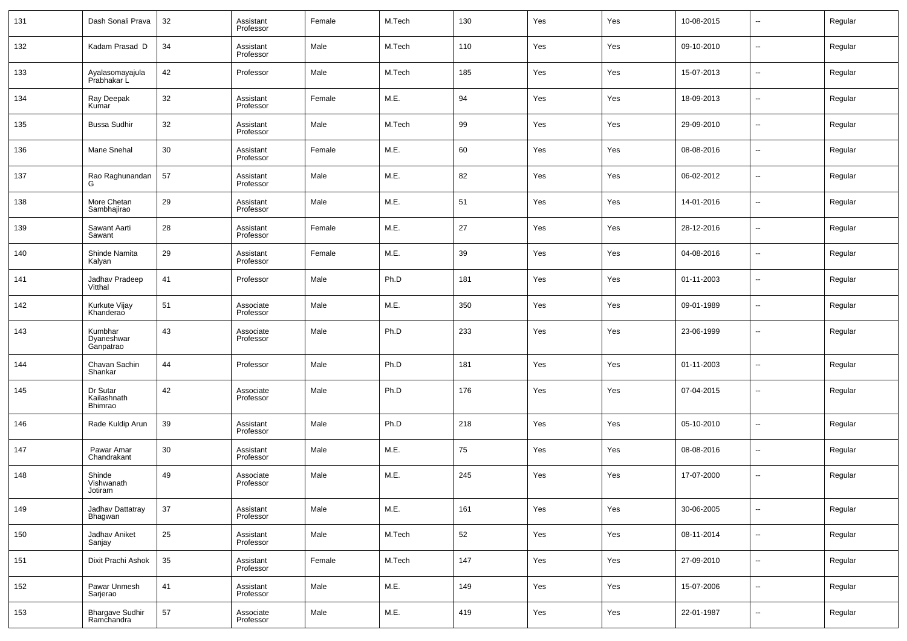| 131 | Dash Sonali Prava                    | 32 | Assistant<br>Professor | Female | M.Tech | 130 | Yes | Yes | 10-08-2015 | ⊷                        | Regular |
|-----|--------------------------------------|----|------------------------|--------|--------|-----|-----|-----|------------|--------------------------|---------|
| 132 | Kadam Prasad D                       | 34 | Assistant<br>Professor | Male   | M.Tech | 110 | Yes | Yes | 09-10-2010 | ⊷                        | Regular |
| 133 | Ayalasomayajula<br>Prabhakar L       | 42 | Professor              | Male   | M.Tech | 185 | Yes | Yes | 15-07-2013 | ⊷                        | Regular |
| 134 | Ray Deepak<br>Kumar                  | 32 | Assistant<br>Professor | Female | M.E.   | 94  | Yes | Yes | 18-09-2013 | ⊷                        | Regular |
| 135 | <b>Bussa Sudhir</b>                  | 32 | Assistant<br>Professor | Male   | M.Tech | 99  | Yes | Yes | 29-09-2010 | ⊶.                       | Regular |
| 136 | Mane Snehal                          | 30 | Assistant<br>Professor | Female | M.E.   | 60  | Yes | Yes | 08-08-2016 | ⊷                        | Regular |
| 137 | Rao Raghunandan<br>G                 | 57 | Assistant<br>Professor | Male   | M.E.   | 82  | Yes | Yes | 06-02-2012 | ⊶.                       | Regular |
| 138 | More Chetan<br>Sambhajirao           | 29 | Assistant<br>Professor | Male   | M.E.   | 51  | Yes | Yes | 14-01-2016 | ⊷                        | Regular |
| 139 | Sawant Aarti<br>Sawant               | 28 | Assistant<br>Professor | Female | M.E.   | 27  | Yes | Yes | 28-12-2016 | ⊷                        | Regular |
| 140 | Shinde Namita<br>Kalyan              | 29 | Assistant<br>Professor | Female | M.E.   | 39  | Yes | Yes | 04-08-2016 | ⊷                        | Regular |
| 141 | Jadhav Pradeep<br>Vitthal            | 41 | Professor              | Male   | Ph.D   | 181 | Yes | Yes | 01-11-2003 | $\overline{\phantom{a}}$ | Regular |
| 142 | Kurkute Vijay<br>Khanderao           | 51 | Associate<br>Professor | Male   | M.E.   | 350 | Yes | Yes | 09-01-1989 | ⊷                        | Regular |
| 143 | Kumbhar<br>Dyaneshwar<br>Ganpatrao   | 43 | Associate<br>Professor | Male   | Ph.D   | 233 | Yes | Yes | 23-06-1999 | $\overline{\phantom{a}}$ | Regular |
| 144 | Chavan Sachin<br>Shankar             | 44 | Professor              | Male   | Ph.D   | 181 | Yes | Yes | 01-11-2003 | $\overline{\phantom{a}}$ | Regular |
| 145 | Dr Sutar<br>Kailashnath<br>Bhimrao   | 42 | Associate<br>Professor | Male   | Ph.D   | 176 | Yes | Yes | 07-04-2015 | --                       | Regular |
| 146 | Rade Kuldip Arun                     | 39 | Assistant<br>Professor | Male   | Ph.D   | 218 | Yes | Yes | 05-10-2010 | --                       | Regular |
| 147 | Pawar Amar<br>Chandrakant            | 30 | Assistant<br>Professor | Male   | M.E.   | 75  | Yes | Yes | 08-08-2016 | --                       | Regular |
| 148 | Shinde<br>Vishwanath<br>Jotiram      | 49 | Associate<br>Professor | Male   | M.E.   | 245 | Yes | Yes | 17-07-2000 | --                       | Regular |
| 149 | Jadhav Dattatray<br>Bhagwan          | 37 | Assistant<br>Professor | Male   | M.E.   | 161 | Yes | Yes | 30-06-2005 | $\overline{\phantom{a}}$ | Regular |
| 150 | Jadhav Aniket<br>Sanjay              | 25 | Assistant<br>Professor | Male   | M.Tech | 52  | Yes | Yes | 08-11-2014 | н.                       | Regular |
| 151 | Dixit Prachi Ashok                   | 35 | Assistant<br>Professor | Female | M.Tech | 147 | Yes | Yes | 27-09-2010 | $\sim$                   | Regular |
| 152 | Pawar Unmesh<br>Sarjerao             | 41 | Assistant<br>Professor | Male   | M.E.   | 149 | Yes | Yes | 15-07-2006 | н.                       | Regular |
| 153 | <b>Bhargave Sudhir</b><br>Ramchandra | 57 | Associate<br>Professor | Male   | M.E.   | 419 | Yes | Yes | 22-01-1987 | ⊶.                       | Regular |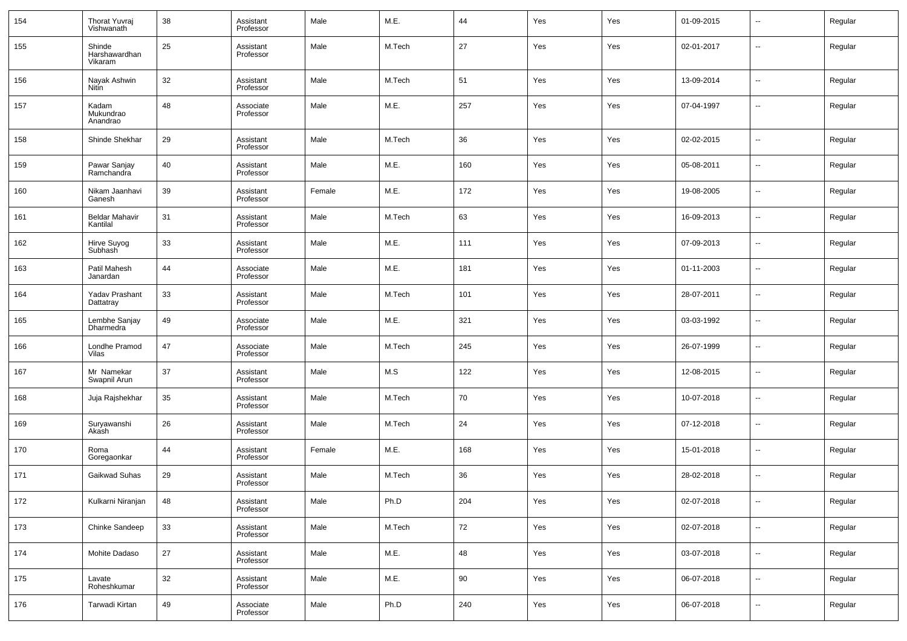| 154 | Thorat Yuvraj<br>Vishwanath        | 38 | Assistant<br>Professor | Male   | M.E.   | 44     | Yes | Yes | 01-09-2015 | $\overline{\phantom{a}}$ | Regular |
|-----|------------------------------------|----|------------------------|--------|--------|--------|-----|-----|------------|--------------------------|---------|
| 155 | Shinde<br>Harshawardhan<br>Vikaram | 25 | Assistant<br>Professor | Male   | M.Tech | 27     | Yes | Yes | 02-01-2017 | $\overline{\phantom{a}}$ | Regular |
| 156 | Nayak Ashwin<br><b>Nitin</b>       | 32 | Assistant<br>Professor | Male   | M.Tech | 51     | Yes | Yes | 13-09-2014 | $\overline{\phantom{a}}$ | Regular |
| 157 | Kadam<br>Mukundrao<br>Anandrao     | 48 | Associate<br>Professor | Male   | M.E.   | 257    | Yes | Yes | 07-04-1997 | $\overline{\phantom{a}}$ | Regular |
| 158 | Shinde Shekhar                     | 29 | Assistant<br>Professor | Male   | M.Tech | 36     | Yes | Yes | 02-02-2015 | --                       | Regular |
| 159 | Pawar Sanjay<br>Ramchandra         | 40 | Assistant<br>Professor | Male   | M.E.   | 160    | Yes | Yes | 05-08-2011 | $\overline{\phantom{a}}$ | Regular |
| 160 | Nikam Jaanhavi<br>Ganesh           | 39 | Assistant<br>Professor | Female | M.E.   | 172    | Yes | Yes | 19-08-2005 | $\overline{\phantom{a}}$ | Regular |
| 161 | <b>Beldar Mahavir</b><br>Kantilal  | 31 | Assistant<br>Professor | Male   | M.Tech | 63     | Yes | Yes | 16-09-2013 | $\overline{\phantom{a}}$ | Regular |
| 162 | Hirve Suyog<br>Subhash             | 33 | Assistant<br>Professor | Male   | M.E.   | 111    | Yes | Yes | 07-09-2013 | $\overline{\phantom{a}}$ | Regular |
| 163 | Patil Mahesh<br>Janardan           | 44 | Associate<br>Professor | Male   | M.E.   | 181    | Yes | Yes | 01-11-2003 | --                       | Regular |
| 164 | Yadav Prashant<br>Dattatray        | 33 | Assistant<br>Professor | Male   | M.Tech | 101    | Yes | Yes | 28-07-2011 | $\overline{\phantom{a}}$ | Regular |
| 165 | Lembhe Sanjay<br>Dharmedra         | 49 | Associate<br>Professor | Male   | M.E.   | 321    | Yes | Yes | 03-03-1992 | $\overline{\phantom{a}}$ | Regular |
| 166 | Londhe Pramod<br>Vilas             | 47 | Associate<br>Professor | Male   | M.Tech | 245    | Yes | Yes | 26-07-1999 | --                       | Regular |
| 167 | Mr Namekar<br>Swapnil Arun         | 37 | Assistant<br>Professor | Male   | M.S    | 122    | Yes | Yes | 12-08-2015 | $\overline{\phantom{a}}$ | Regular |
| 168 | Juja Rajshekhar                    | 35 | Assistant<br>Professor | Male   | M.Tech | 70     | Yes | Yes | 10-07-2018 | --                       | Regular |
| 169 | Suryawanshi<br>Akash               | 26 | Assistant<br>Professor | Male   | M.Tech | 24     | Yes | Yes | 07-12-2018 | $\overline{\phantom{a}}$ | Regular |
| 170 | Roma<br>Goregaonkar                | 44 | Assistant<br>Professor | Female | M.E.   | 168    | Yes | Yes | 15-01-2018 | $\overline{\phantom{a}}$ | Regular |
| 171 | Gaikwad Suhas                      | 29 | Assistant<br>Professor | Male   | M.Tech | 36     | Yes | Yes | 28-02-2018 | --                       | Regular |
| 172 | Kulkarni Niranjan                  | 48 | Assistant<br>Professor | Male   | Ph.D   | 204    | Yes | Yes | 02-07-2018 | $\overline{\phantom{a}}$ | Regular |
| 173 | Chinke Sandeep                     | 33 | Assistant<br>Professor | Male   | M.Tech | $72\,$ | Yes | Yes | 02-07-2018 | ۰.                       | Regular |
| 174 | Mohite Dadaso                      | 27 | Assistant<br>Professor | Male   | M.E.   | 48     | Yes | Yes | 03-07-2018 | ۰.                       | Regular |
| 175 | Lavate<br>Roheshkumar              | 32 | Assistant<br>Professor | Male   | M.E.   | $90\,$ | Yes | Yes | 06-07-2018 | $\overline{\phantom{a}}$ | Regular |
| 176 | Tarwadi Kirtan                     | 49 | Associate<br>Professor | Male   | Ph.D   | 240    | Yes | Yes | 06-07-2018 | $\overline{\phantom{a}}$ | Regular |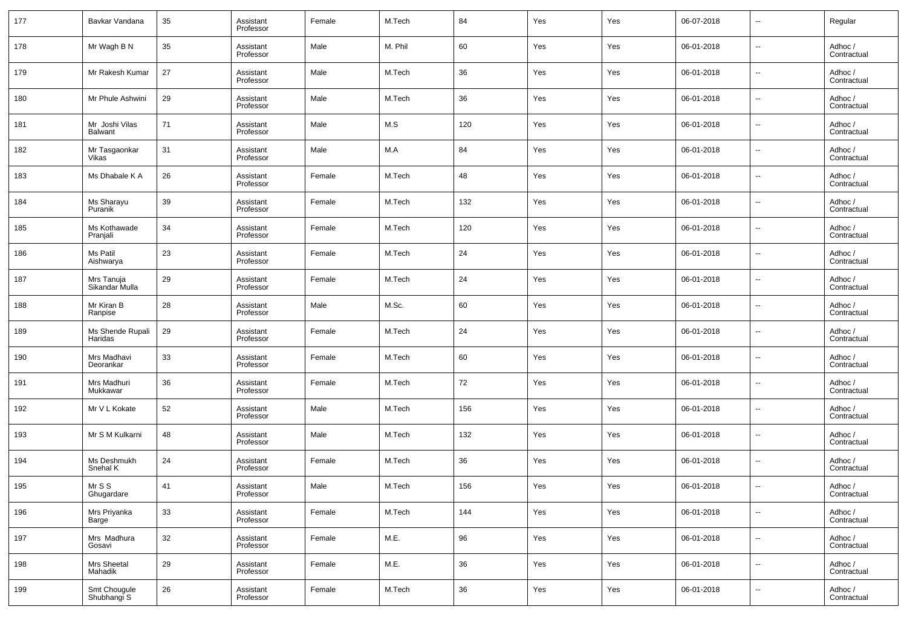| 177 | Bavkar Vandana               | 35 | Assistant<br>Professor | Female | M.Tech  | 84  | Yes | Yes | 06-07-2018 | --                       | Regular                |
|-----|------------------------------|----|------------------------|--------|---------|-----|-----|-----|------------|--------------------------|------------------------|
| 178 | Mr Wagh B N                  | 35 | Assistant<br>Professor | Male   | M. Phil | 60  | Yes | Yes | 06-01-2018 | --                       | Adhoc /<br>Contractual |
| 179 | Mr Rakesh Kumar              | 27 | Assistant<br>Professor | Male   | M.Tech  | 36  | Yes | Yes | 06-01-2018 | --                       | Adhoc /<br>Contractual |
| 180 | Mr Phule Ashwini             | 29 | Assistant<br>Professor | Male   | M.Tech  | 36  | Yes | Yes | 06-01-2018 | --                       | Adhoc /<br>Contractual |
| 181 | Mr Joshi Vilas<br>Balwant    | 71 | Assistant<br>Professor | Male   | M.S     | 120 | Yes | Yes | 06-01-2018 | --                       | Adhoc /<br>Contractual |
| 182 | Mr Tasgaonkar<br>Vikas       | 31 | Assistant<br>Professor | Male   | M.A     | 84  | Yes | Yes | 06-01-2018 | --                       | Adhoc /<br>Contractual |
| 183 | Ms Dhabale K A               | 26 | Assistant<br>Professor | Female | M.Tech  | 48  | Yes | Yes | 06-01-2018 | --                       | Adhoc /<br>Contractual |
| 184 | Ms Sharayu<br>Puranik        | 39 | Assistant<br>Professor | Female | M.Tech  | 132 | Yes | Yes | 06-01-2018 | --                       | Adhoc /<br>Contractual |
| 185 | Ms Kothawade<br>Pranjali     | 34 | Assistant<br>Professor | Female | M.Tech  | 120 | Yes | Yes | 06-01-2018 | --                       | Adhoc /<br>Contractual |
| 186 | Ms Patil<br>Aishwarya        | 23 | Assistant<br>Professor | Female | M.Tech  | 24  | Yes | Yes | 06-01-2018 | --                       | Adhoc /<br>Contractual |
| 187 | Mrs Tanuja<br>Sikandar Mulla | 29 | Assistant<br>Professor | Female | M.Tech  | 24  | Yes | Yes | 06-01-2018 | --                       | Adhoc /<br>Contractual |
| 188 | Mr Kiran B<br>Ranpise        | 28 | Assistant<br>Professor | Male   | M.Sc.   | 60  | Yes | Yes | 06-01-2018 | --                       | Adhoc /<br>Contractual |
| 189 | Ms Shende Rupali<br>Haridas  | 29 | Assistant<br>Professor | Female | M.Tech  | 24  | Yes | Yes | 06-01-2018 | --                       | Adhoc /<br>Contractual |
| 190 | Mrs Madhavi<br>Deorankar     | 33 | Assistant<br>Professor | Female | M.Tech  | 60  | Yes | Yes | 06-01-2018 | --                       | Adhoc /<br>Contractual |
| 191 | Mrs Madhuri<br>Mukkawar      | 36 | Assistant<br>Professor | Female | M.Tech  | 72  | Yes | Yes | 06-01-2018 | --                       | Adhoc /<br>Contractual |
| 192 | Mr V L Kokate                | 52 | Assistant<br>Professor | Male   | M.Tech  | 156 | Yes | Yes | 06-01-2018 | --                       | Adhoc /<br>Contractual |
| 193 | Mr S M Kulkarni              | 48 | Assistant<br>Professor | Male   | M.Tech  | 132 | Yes | Yes | 06-01-2018 | --                       | Adhoc /<br>Contractual |
| 194 | Ms Deshmukh<br>Snehal K      | 24 | Assistant<br>Professor | Female | M.Tech  | 36  | Yes | Yes | 06-01-2018 | --                       | Adhoc /<br>Contractual |
| 195 | Mr S S<br>Ghugardare         | 41 | Assistant<br>Professor | Male   | M.Tech  | 156 | Yes | Yes | 06-01-2018 | --                       | Adhoc /<br>Contractual |
| 196 | Mrs Priyanka<br>Barge        | 33 | Assistant<br>Professor | Female | M.Tech  | 144 | Yes | Yes | 06-01-2018 | $\overline{\phantom{a}}$ | Adhoc /<br>Contractual |
| 197 | Mrs Madhura<br>Gosavi        | 32 | Assistant<br>Professor | Female | M.E.    | 96  | Yes | Yes | 06-01-2018 | $\sim$                   | Adhoc /<br>Contractual |
| 198 | Mrs Sheetal<br>Mahadik       | 29 | Assistant<br>Professor | Female | M.E.    | 36  | Yes | Yes | 06-01-2018 | $\overline{\phantom{a}}$ | Adhoc /<br>Contractual |
| 199 | Smt Chougule<br>Shubhangi S  | 26 | Assistant<br>Professor | Female | M.Tech  | 36  | Yes | Yes | 06-01-2018 | −−                       | Adhoc /<br>Contractual |